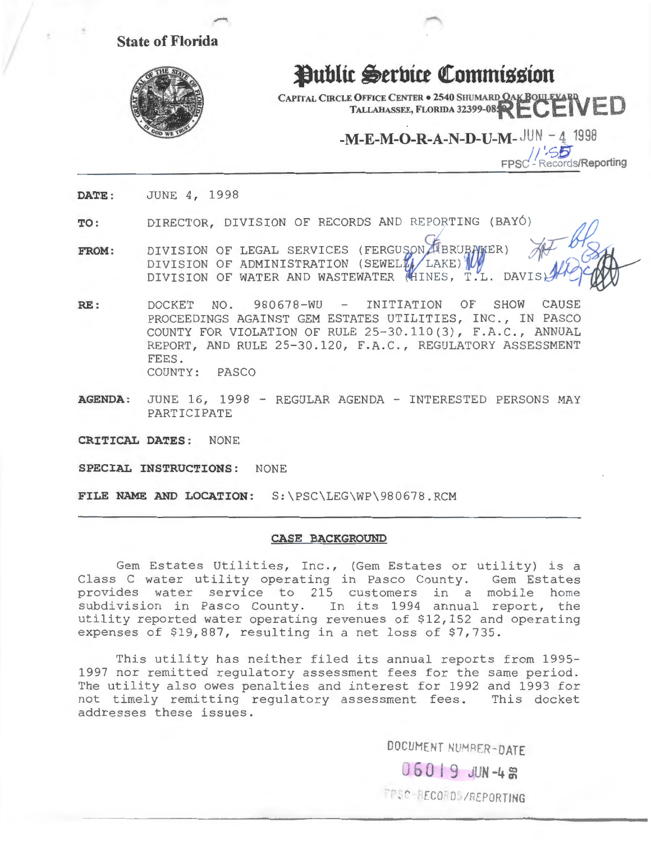- **State of Florida** 



## **Public Serbice Commission**

**CAPITAL CIRCLE OFFICE CENTER . 2540 SHUMARD OAK BOULEVARD TALLAHASSEE, FLORIDA 32399-08 PECENED** 

**-M-E-M-0-R-A-N-D-U-M- JUN -4 1998** 

**1!'-SS Records/Reporting** 

**DATE:**  JUNE 4, 1998

**TO:**  DIRECTOR, DIVISION OF RECORDS AND REPORTING (BAYÓ)

- **FROM:**  DIVISION OF LEGAL SERVICES (FERGUSON UBRUBAKER) DIVISION OF ADMINISTRATION (SEWELLA LAKE) DIVISION OF WATER AND WASTEWATER (HINES, T.L. DAVIS
- **RE:**  DOCKET NO. 980678-WU - INITIATION OF SHOW CAUSE PROCEEDINGS AGAINST GEM ESTATES UTILITIES, INC., IN PASCO COUNTY FOR VIOLATION OF RULE 25-30.110(3), F.A.C., ANNUAL REPORT, AND RULE 25-30.120, F.A.C., REGULATORY ASSESSMENT FEES. COUNTY: PASCO
- **AGENDA:** JUNE 16, 1998 REGULAR AGENDA INTERESTED PERSONS MAY PARTICIPATE

**CRITICAL DATES:** NONE

**SPECIAL INSTRUCTIONS:** NONE

**FILE NAME AND LOCATION:** S:\PSC\LEG\WP\980678.RCM

## **CASE BACKGROUND**

Gem Estates Utilities, Inc., (Gem Estates or utility) is a Class C water utility operating in Pasco County. Gem Estates provides water service to 215 customers in a mobile home subdivision in Pasco County. In its 1994 annual report, the utility reported water operating revenues of \$12,152 and operating expenses of \$19,887, resulting in a net loss of \$7,735.

This utility has neither filed its annual reports from 1995- 1997 nor remitted regulatory assessment fees for the same period. The utility also owes penalties and interest for 1992 and 1993 for not timely remitting regulatory assessment fees. This docket addresses these issues.

DOCUMENT NUMBER-DATE

06019 JUN-4 **2** 

FRSC-RECORDS/REPORTING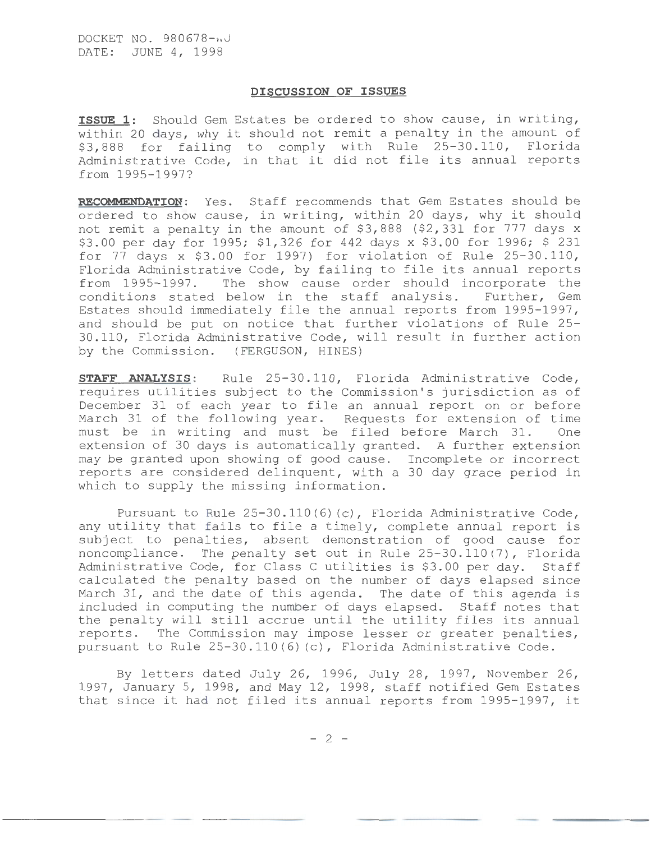## **DISCUSSION OF ISSUES**

**ISSUE 1:** Should Gem Estates be ordered to show cause, in writing, within 20 days, why it should not remit a penalty in the amount of \$3,888 for failing to comply with Rule 25-30.110, Florida Administrative Code, in that it did not file its annual reports from 1995-1997?

**RECOMMENDATION:** Yes. Staff recommends that Gem Estates should be ordered to show cause, in writing, within 20 days, why it should not remit a penalty in the amount of \$3,888 (\$2,331 for 777 days x \$3.00 per day for 1995; \$1,326 for 442 days x \$3.00 for 1996; \$ 231 for 77 days x \$3. 00 for 1997) for violation of Rule 25-30. 110, Florida Administrative Code, by failing to file its annual reports from 1995-1997. The show cause order should incorporate the conditions stated below in the staff analysis. Further, Gem conditions stated below in the staff analysis. Estates should immediately file the annual reports from 1995-1997, and should be put on notice that further violations of Rule 25- 30.110, Florida Administrative Code, will result in further action by the Commission. (FERGUSON, HINES)

**STAFF ANALYSIS:** Rule 25-30.110, Florida Administrative Code, requires utilities subject to the Commission's jurisdiction as of December 31 of each year to file an annual report on or before March 31 of the following year. Requests for extension of time must be in writing and must be filed before March 31. One extension of 30 days is automatically granted. A further extension may be granted upon showing of good cause. Incomplete or incorrect reports are considered delinquent, with a 30 day grace period in which to supply the missing information.

Pursuant to Rule 25-30.110(6) (c), Florida Administrative Code, any utility that fails to file a timely, complete annual report is subject to penalties, absent demonstration of good cause for noncompliance. The penalty set out in Rule 25-30.110(7), Florida Administrative Code, for Class C utilities is \$3.00 per day. Staff calculated the penalty based on the number of days elapsed since March 31, and the date of this agenda. The date of this agenda is included in computing the number of days elapsed. Staff notes that the penalty will still accrue until the utility files its annual reports. The Commission may impose lesser or greater penalties, pursuant to Rule 25-30.110(6) (c), Florida Administrative Code.

By letters dated July 26, 1996, July 28, 1997, November 26, 1997, January 5, 1998, and May 12, 1998, staff notified Gem Estates that since it had not filed its annual reports from 1995-1997, it

 $-2 -$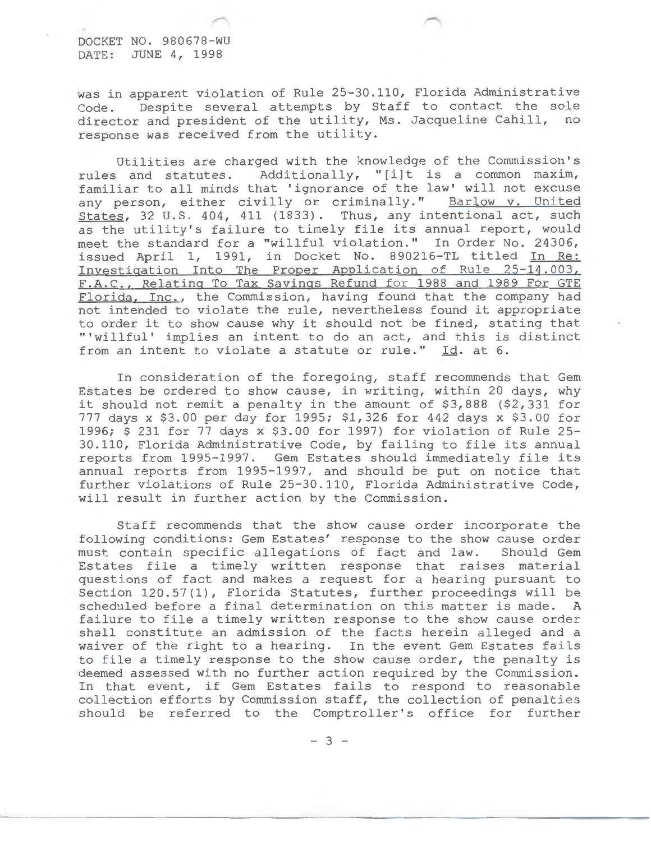DOCKET NO. 980678-WU DATE: JUNE 4, 1998

was in apparent violation of Rule 25-30.110, Florida Administrative Code. Despite several attempts by Staff to contact the sole director and president of the utility, Ms. Jacqueline Cahill, no response was received from the utility.

Utilities are charged with the knowledge of the Commission's<br>rules and statutes. Additionally, "[i]t is a common maxim, Additionally, "[i]t is a common maxim, familiar to all minds that 'ignorance of the law' will not excuse any person, either civilly or criminally." Barlow v. United States, 32 U.S. 404, 411 (1833). Thus, any intentional act, such as the utility's failure to timely file its annual report, would meet the standard for a "willful violation." In Order No. 24306, issued April 1, 1991, in Docket No. 890216-TL titled In Re: Investigation Into The Proper Application of Rule 25-14.003, F.A.C., Relating To Tax Savings Refund for 1988 and 1989 For GTE Florida, Inc., the Commission, having found that the company had not intended to violate the rule, nevertheless found it appropriate to order it to show cause why it should not be fined, stating that "'willful' implies an intent to do an act, and this is distinct from an intent to violate a statute or rule." Id. at 6.

In consideration of the foregoing, staff recommends that Gem Estates be ordered to show cause, in writing, within 20 days, why it should not remit a penalty in the amount of \$3,888 (\$2,331 for 777 days x \$3.00 per day for 1995; \$1,326 for 442 days x \$3.00 for 1996; \$ 231 for 77 days x \$3.00 for 1997) for violation of Rule 25- 30.110, Florida Administrative Code, by failing to file its annual reports from 1995-1997. Gem Estates should immediately file its annual reports from 1995-1997, and should be put on notice that further violations of Rule 25-30.110, Florida Administrative Code, will result in further action by the Commission.

Staff recommends that the show cause order incorporate the following conditions: Gem Estates' response to the show cause order must contain specific allegations of fact and law. Should Gem Estates file a timely written response that raises material questions of fact and makes a request for a hearing pursuant to Section 120.57(1), Florida Statutes, further proceedings will be scheduled before a final determination on this matter is made. A failure to file a timely written response to the show cause order shall constitute an admission of the facts herein alleged and a waiver of the right to a hearing. In the event Gem Estates fails to file a timely response to the show cause order, the penalty is deemed assessed with no further action required by the Commission. In that event, if Gem Estates fails to respond to reasonable collection efforts by Commission staff, the collection of penalties should be referred to the Comptroller's office for further

 $-3 -$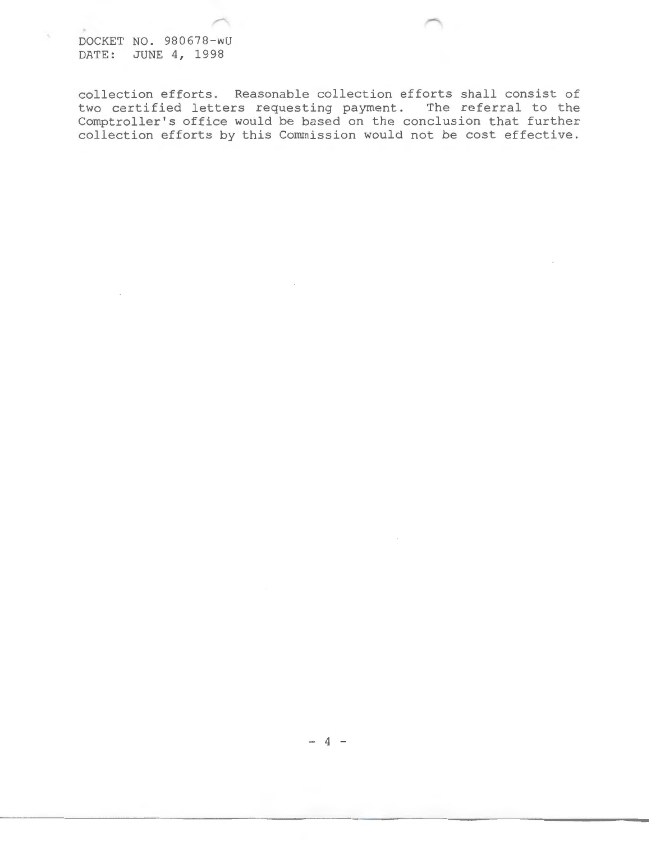DOCKET NO. 980678-WU DATE: JUNE 4, 1998

 $\tau_{\rm c}$ 

collection efforts. Reasonable collection efforts shall consist of two certified letters requesting payment. The referral to the Comptroller's office would be based on the conclusion that further collection efforts by this Commission would not be cost effective.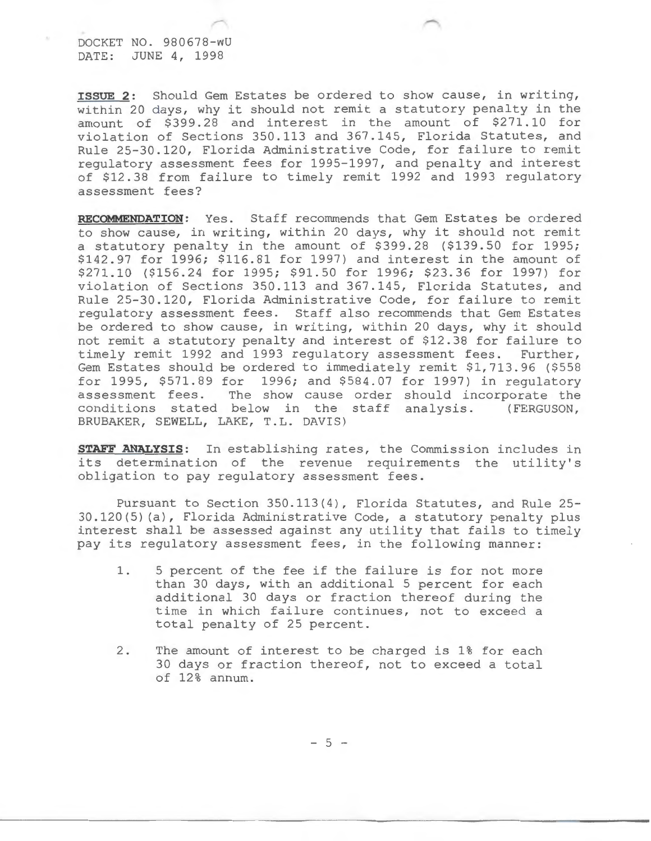DOCKET NO. 980678-wU DATE: JUNE 4, 1998

**ISSUE 2:** Should Gem Estates be ordered to show cause, in writing, within 20 days, why it should not remit a statutory penalty in the amount of \$399.28 and interest in the amount of \$271.10 for violation of Sections 350.113 and 367.145, Florida Statutes, and Rule 25-30.120, Florida Administrative Code, for failure to remit regulatory assessment fees for 1995-1997, and penalty and interest of \$12.38 from failure to timely remit 1992 and 1993 regulatory assessment fees?

**RECOMMENDATION:** Yes. Staff recommends that Gem Estates be ordered to show cause, in writing, within 20 days, why it should not remit a statutory penalty in the amount of \$399.28 (\$139.50 for 1995; \$142.97 for 1996; \$116.81 for 1997) and interest in the amount of \$271.10 (\$156.24 for 1995; \$91.50 for 1996; \$23.36 for 1997) for violation of Sections 350.113 and 367.145, Florida Statutes, and Rule 25-30.120, Florida Administrative Code, for failure to remit regulatory assessment fees. Staff also recommends that Gem Estates be ordered to show cause, in writing, within 20 days, why it should not remit a statutory penalty and interest of \$12.38 for failure to timely remit 1992 and 1993 regulatory assessment fees. Further, Gem Estates should be ordered to immediately remit \$1,713.96 (\$558 for 1995, \$571.89 for 1996; and \$584.07 for 1997) in regulatory assessment fees. The show cause order should incorporate the conditions stated below in the staff analysis. (FERGUSON, BRUBAKER, SEWELL, LAKE, T.L. DAVIS)

**STAFF ANALYSIS:** In establishing rates, the Commission includes in its determination of the revenue requirements the utility's obligation to pay regulatory assessment fees.

Pursuant to Section 350.113(4), Florida Statutes, and Rule 25- 30.120(5) (a), Florida Administrative Code, a statutory penalty plus interest shall be assessed against any utility that fails to timely pay its regulatory assessment fees, in the following manner:

- 1. 5 percent of the fee if the failure is for not more than 30 days, with an additional 5 percent for each additional 30 days or fraction thereof during the time in which failure continues, not to exceed a total penalty of 25 percent.
- 2. The amount of interest to be charged is 1% for each 30 days or fraction thereof, not to exceed a total of 12% annum.

 $-5 -$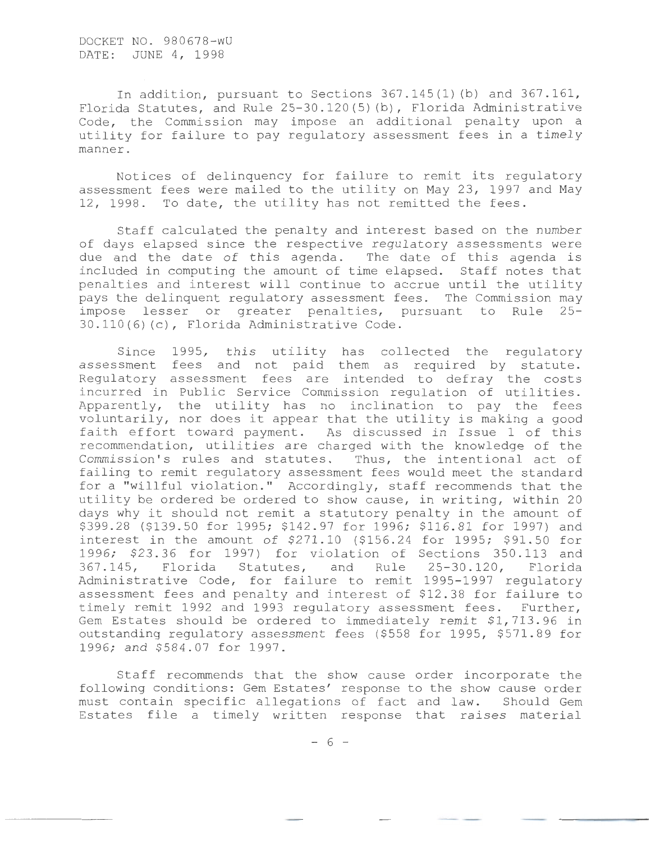DOCKET NO. 980678-WU DATE: JUNE 4, 1998

In addition, pursuant to Sections  $367.145(1)$  (b) and  $367.161$ , Florida Statutes, and Rule 25-30.120(5) (b), Florida Administrative Code, the Commission may impose an additional penalty upon a utility for failure to pay regulatory assessment fees in a timely manner.

Notices of delinquency for failure to remit its regulatory assessment fees were mailed to the utility on May 23, 1997 and May 12, 1998. To date, the utility has not remitted the fees.

Staff calculated the penalty and interest based on the number of days elapsed since the respective regulatory assessments were due and the date of this agenda. The date of this agenda is included in computing the amount of time elapsed. Staff notes that penalties and interest will continue to accrue until the utility pays the delinquent regulatory assessment fees. The Commission may impose lesser or greater penalties, pursuant to Rule 25- 30.110(6)(c), Florida Administrative Code.

Since 1995, this utility has collected the regulatory assessment fees and not paid them as required by statute. Regulatory assessment fees are intended to defray the costs incurred in Public Service Commission regulation of utilities. Apparently, the utility has no inclination to pay the fees voluntarily, nor does it appear that the utility is making a good faith effort toward payment. As discussed in Issue 1 of this recommendation, utilities are charged with the knowledge of the Commission's rules and statutes. Thus, the intentional act of failing to remit regulatory assessment fees would meet the standard for a "willful violation." Accordingly, staff recommends that the utility be ordered be ordered to show cause, in writing, within 20 days why it should not remit a statutory penalty in the amount of \$399.28 (\$139.50 for 1995; \$142.97 for 1996; \$116.81 for 1997) and interest in the amount of \$271.10 (\$156.24 for 1995; \$91.50 for 1996; \$23.36 for 1997) for violation of Sections 350.113 and<br>367.145, Florida Statutes, and Rule 25-30.120, Florida Statutes, and Rule 25-30.120, Administrative Code, for failure to remit 1995-1997 regulatory assessment fees and penalty and interest of \$12.38 for failure to timely remit 1992 and 1993 regulatory assessment fees. Further, Gem Estates should be ordered to immediately remit \$1,713.96 in outstanding regulatory assessment fees (\$558 for 1995, \$571.89 for 1996; and \$584.07 for 1997.

Staff recommends that the show cause order incorporate the following conditions: Gem Estates' response to the show cause order must contain specific allegations of fact and law. Should Gem Estates file a timely written response that raises material

- 6 -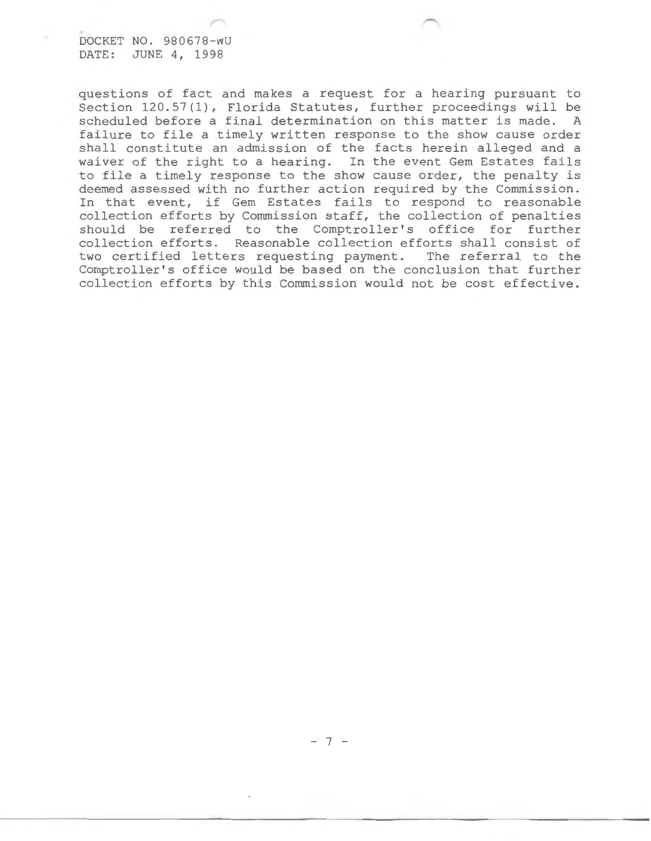DOCKET NO. 980678-wU DATE: JUNE 4, 1998

questions of fact and makes a request for a hearing pursuant to Section 120.57(1), Florida Statutes, further proceedings will be scheduled before a final determination on this matter is made. A failure to file a timely written response to the show cause order shall constitute an admission of the facts herein alleged and a waiver of the right to a hearing. In the event Gem Estates fails to file a timely response to the show cause order, the penalty is deemed assessed with no further action required by the Commission. In that event, if Gem Estates fails to respond to reasonable collection efforts by Commission staff, the collection of penalties should be referred to the Comptroller's office for further collection efforts. Reasonable collection efforts shall consist of two certified letters requesting payment. The referral to the Comptroller's office would be based on the conclusion that further collection efforts by this Commission would not be cost effective.